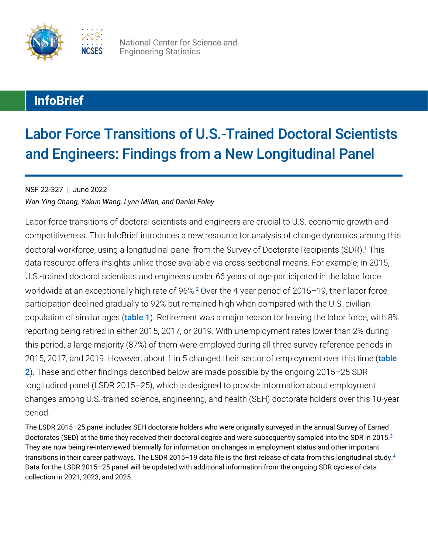

<span id="page-0-0"></span>National Center for Science and Engineering Statistics

## **InfoBrief**

# Labor Force Transitions of U.S.-Trained Doctoral Scientists and Engineers: Findings from a New Longitudinal Panel

### NSF 22-327 | June 2022

*Wan-Ying Chang, Yakun Wang, Lynn Milan, and Daniel Foley*

<span id="page-0-1"></span>Labor force transitions of doctoral scientists and engineers are crucial to U.S. economic growth and competitiveness. This InfoBrief introduces a new resource for analysis of change dynamics among this doctoral workforce, using a longitudinal panel from the Survey of Doctorate Recipients (SDR).<sup>[1](#page-8-0)</sup> This data resource offers insights unlike those available via cross-sectional means. For example, in 2015, U.S.-trained doctoral scientists and engineers under 66 years of age participated in the labor force worldwide at an exceptionally high rate of 96%.<sup>[2](#page-8-1)</sup> Over the 4-year period of 2015–19, their labor force participation declined gradually to 92% but remained high when compared with the U.S. civilian population of similar ages ([table 1](#page-1-0)). Retirement was a major reason for leaving the labor force, with 8% reporting being retired in either 2015, 2017, or 2019. With unemployment rates lower than 2% during this period, a large majority (87%) of them were employed during all three survey reference periods in 2015, 2017, and 2019. However, about 1 in 5 changed their sector of employment over this time (table [2](#page-1-1)). These and other findings described below are made possible by the ongoing 2015–25 SDR longitudinal panel (LSDR 2015–25), which is designed to provide information about employment changes among U.S.-trained science, engineering, and health (SEH) doctorate holders over this 10-year period.

<span id="page-0-3"></span><span id="page-0-2"></span>The LSDR 2015–25 panel includes SEH doctorate holders who were originally surveyed in the annual Survey of Earned Doctorates (SED) at the time they received their doctoral degree and were subsequently sampled into the SDR in 2015. [3](#page-8-2) They are now being re-interviewed biennially for information on changes in employment status and other important transitions in their career pathways. The LSDR 2015–19 data file is the first release of data from this longitudinal study. [4](#page-8-3) Data for the LSDR 2015–25 panel will be updated with additional information from the ongoing SDR cycles of data collection in 2021, 2023, and 2025.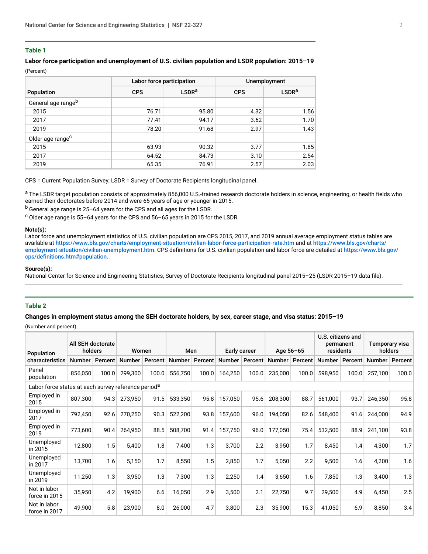#### <span id="page-1-0"></span>**Table 1**

#### **Labor force participation and unemployment of U.S. civilian population and LSDR population: 2015–19** (Percent)

|                                |            | Labor force participation | Unemployment |                   |  |  |  |
|--------------------------------|------------|---------------------------|--------------|-------------------|--|--|--|
| Population                     | <b>CPS</b> | LSDR <sup>a</sup>         | <b>CPS</b>   | LSDR <sup>a</sup> |  |  |  |
| General age range <sup>b</sup> |            |                           |              |                   |  |  |  |
| 2015                           | 76.71      | 95.80                     | 4.32         | 1.56              |  |  |  |
| 2017                           | 77.41      | 94.17                     | 3.62         | 1.70              |  |  |  |
| 2019                           | 78.20      | 91.68                     | 2.97         | 1.43              |  |  |  |
| Older age range <sup>c</sup>   |            |                           |              |                   |  |  |  |
| 2015                           | 63.93      | 90.32                     | 3.77         | 1.85              |  |  |  |
| 2017                           | 64.52      | 84.73                     | 3.10         | 2.54              |  |  |  |
| 2019                           | 65.35      | 76.91                     | 2.57         | 2.03              |  |  |  |

CPS = Current Population Survey; LSDR = Survey of Doctorate Recipients longitudinal panel.

<sup>a</sup> The LSDR target population consists of approximately 856,000 U.S.-trained research doctorate holders in science, engineering, or health fields who earned their doctorates before 2014 and were 65 years of age or younger in 2015.

 $b$  General age range is 25–64 years for the CPS and all ages for the LSDR.

 $\text{c}$  Older age range is 55–64 years for the CPS and 56–65 years in 2015 for the LSDR.

#### **Note(s):**

Labor force and unemployment statistics of U.S. civilian population are CPS 2015, 2017, and 2019 annual average employment status tables are available at <https://www.bls.gov/charts/employment-situation/civilian-labor-force-participation-rate.htm> and at [https://www.bls.gov/charts/](https://www.bls.gov/charts/employment-situation/civilian-unemployment.htm) [employment-situation/civilian-unemployment.htm](https://www.bls.gov/charts/employment-situation/civilian-unemployment.htm). CPS definitions for U.S. civilian population and labor force are detailed at [https://www.bls.gov/](https://www.bls.gov/cps/definitions.htm#population) [cps/definitions.htm#population](https://www.bls.gov/cps/definitions.htm#population).

#### **Source(s):**

National Center for Science and Engineering Statistics, Survey of Doctorate Recipients longitudinal panel 2015–25 (LSDR 2015–19 data file).

#### <span id="page-1-1"></span>**Table 2**

#### **Changes in employment status among the SEH doctorate holders, by sex, career stage, and visa status: 2015–19**

(Number and percent)

| Population                                                      | All SEH doctorate<br>holders |         | Women         |         | Men           |         | Early career |         | Age 56-65 |                  | U.S. citizens and<br>permanent<br>residents |                | Temporary visa<br>holders |         |
|-----------------------------------------------------------------|------------------------------|---------|---------------|---------|---------------|---------|--------------|---------|-----------|------------------|---------------------------------------------|----------------|---------------------------|---------|
| characteristics                                                 | <b>Number</b>                | Percent | <b>Number</b> | Percent | <b>Number</b> | Percent | Number       | Percent |           | Number   Percent |                                             | Number Percent | <b>Number</b>             | Percent |
| Panel<br>population                                             | 856,050                      | 100.0   | 299,300       | 100.0   | 556,750       | 100.0   | 164,250      | 100.0   | 235,000   | 100.0            | 598,950                                     | 100.0          | 257,100                   | 100.0   |
| Labor force status at each survey reference period <sup>a</sup> |                              |         |               |         |               |         |              |         |           |                  |                                             |                |                           |         |
| Employed in<br>2015                                             | 807,300                      | 94.3    | 273,950       | 91.5    | 533,350       | 95.8    | 157,050      | 95.6    | 208,300   | 88.7             | 561,000                                     | 93.7           | 246,350                   | 95.8    |
| Employed in<br>2017                                             | 792,450                      | 92.6    | 270,250       | 90.3    | 522,200       | 93.8    | 157,600      | 96.0    | 194,050   | 82.6             | 548,400                                     | 91.6           | 244,000                   | 94.9    |
| Employed in<br>2019                                             | 773,600                      | 90.4    | 264,950       | 88.5    | 508,700       | 91.4    | 157,750      | 96.0    | 177,050   | 75.4             | 532,500                                     | 88.9           | 241,100                   | 93.8    |
| Unemployed<br>in 2015                                           | 12,800                       | 1.5     | 5,400         | 1.8     | 7,400         | 1.3     | 3,700        | 2.2     | 3,950     | 1.7              | 8,450                                       | 1.4            | 4,300                     | 1.7     |
| Unemployed<br>in 2017                                           | 13,700                       | 1.6     | 5,150         | 1.7     | 8,550         | 1.5     | 2,850        | 1.7     | 5,050     | 2.2              | 9,500                                       | 1.6            | 4,200                     | 1.6     |
| Unemployed<br>in 2019                                           | 11,250                       | 1.3     | 3,950         | 1.3     | 7,300         | 1.3     | 2,250        | 1.4     | 3,650     | 1.6              | 7,850                                       | 1.3            | 3,400                     | 1.3     |
| Not in labor<br>force in 2015                                   | 35,950                       | 4.2     | 19,900        | 6.6     | 16,050        | 2.9     | 3,500        | 2.1     | 22,750    | 9.7              | 29,500                                      | 4.9            | 6,450                     | 2.5     |
| Not in labor<br>force in 2017                                   | 49,900                       | 5.8     | 23,900        | 8.0     | 26,000        | 4.7     | 3,800        | 2.3     | 35,900    | 15.3             | 41,050                                      | 6.9            | 8,850                     | 3.4     |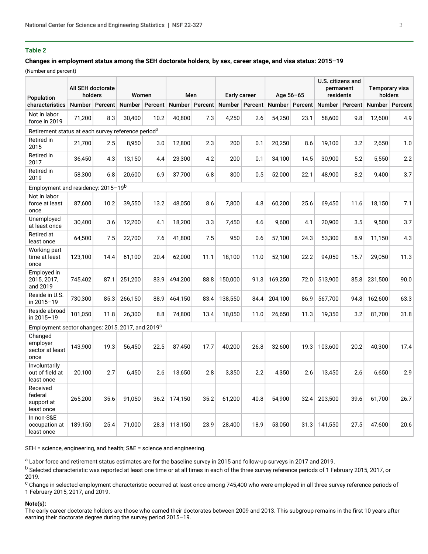#### **Table 2**

#### **Changes in employment status among the SEH doctorate holders, by sex, career stage, and visa status: 2015–19**

(Number and percent)

| Population                                                     | All SEH doctorate<br>holders |         | Women            |      | Men     |         | Early career     |      | Age 56-65        |      | U.S. citizens and<br>permanent<br>residents |      | Temporary visa<br>holders |         |
|----------------------------------------------------------------|------------------------------|---------|------------------|------|---------|---------|------------------|------|------------------|------|---------------------------------------------|------|---------------------------|---------|
| characteristics                                                | Number                       | Percent | Number   Percent |      | Number  | Percent | Number   Percent |      | Number   Percent |      | Number   Percent                            |      | Number                    | Percent |
| Not in labor<br>force in 2019                                  | 71,200                       | 8.3     | 30,400           | 10.2 | 40,800  | 7.3     | 4,250            | 2.6  | 54,250           | 23.1 | 58,600                                      | 9.8  | 12,600                    | 4.9     |
| Retirement status at each survey reference period <sup>a</sup> |                              |         |                  |      |         |         |                  |      |                  |      |                                             |      |                           |         |
| Retired in<br>2015                                             | 21,700                       | 2.5     | 8.950            | 3.0  | 12,800  | 2.3     | 200              | 0.1  | 20,250           | 8.6  | 19,100                                      | 3.2  | 2,650                     | 1.0     |
| Retired in<br>2017                                             | 36,450                       | 4.3     | 13,150           | 4.4  | 23,300  | 4.2     | 200              | 0.1  | 34,100           | 14.5 | 30,900                                      | 5.2  | 5,550                     | 2.2     |
| Retired in<br>2019                                             | 58,300                       | 6.8     | 20,600           | 6.9  | 37,700  | 6.8     | 800              | 0.5  | 52,000           | 22.1 | 48,900                                      | 8.2  | 9,400                     | 3.7     |
| Employment and residency: 2015-19b                             |                              |         |                  |      |         |         |                  |      |                  |      |                                             |      |                           |         |
| Not in labor<br>force at least<br>once                         | 87,600                       | 10.2    | 39,550           | 13.2 | 48,050  | 8.6     | 7,800            | 4.8  | 60,200           | 25.6 | 69,450                                      | 11.6 | 18,150                    | 7.1     |
| Unemployed<br>at least once                                    | 30,400                       | 3.6     | 12,200           | 4.1  | 18,200  | 3.3     | 7,450            | 4.6  | 9,600            | 4.1  | 20,900                                      | 3.5  | 9,500                     | 3.7     |
| Retired at<br>least once                                       | 64,500                       | 7.5     | 22,700           | 7.6  | 41,800  | 7.5     | 950              | 0.6  | 57,100           | 24.3 | 53,300                                      | 8.9  | 11,150                    | 4.3     |
| Working part<br>time at least<br>once                          | 123,100                      | 14.4    | 61,100           | 20.4 | 62,000  | 11.1    | 18,100           | 11.0 | 52,100           | 22.2 | 94,050                                      | 15.7 | 29,050                    | 11.3    |
| Employed in<br>2015, 2017,<br>and 2019                         | 745,402                      | 87.1    | 251,200          | 83.9 | 494,200 | 88.8    | 150,000          | 91.3 | 169,250          | 72.0 | 513,900                                     | 85.8 | 231,500                   | 90.0    |
| Reside in U.S.<br>in 2015-19                                   | 730,300                      | 85.3    | 266,150          | 88.9 | 464,150 | 83.4    | 138,550          | 84.4 | 204,100          | 86.9 | 567,700                                     | 94.8 | 162,600                   | 63.3    |
| Reside abroad<br>in 2015-19                                    | 101.050                      | 11.8    | 26.300           | 8.8  | 74.800  | 13.4    | 18.050           | 11.0 | 26.650           | 11.3 | 19,350                                      | 3.2  | 81,700                    | 31.8    |
| Employment sector changes: 2015, 2017, and 2019 <sup>C</sup>   |                              |         |                  |      |         |         |                  |      |                  |      |                                             |      |                           |         |
| Changed<br>employer<br>sector at least<br>once                 | 143,900                      | 19.3    | 56,450           | 22.5 | 87,450  | 17.7    | 40,200           | 26.8 | 32,600           | 19.3 | 103,600                                     | 20.2 | 40,300                    | 17.4    |
| Involuntarily<br>out of field at<br>least once                 | 20,100                       | 2.7     | 6,450            | 2.6  | 13,650  | 2.8     | 3,350            | 2.2  | 4,350            | 2.6  | 13,450                                      | 2.6  | 6,650                     | 2.9     |
| Received<br>federal<br>support at<br>least once                | 265,200                      | 35.6    | 91.050           | 36.2 | 174.150 | 35.2    | 61.200           | 40.8 | 54.900           | 32.4 | 203.500                                     | 39.6 | 61.700                    | 26.7    |
| In non-S&E<br>occupation at<br>least once                      | 189,150                      | 25.4    | 71,000           | 28.3 | 118,150 | 23.9    | 28,400           | 18.9 | 53,050           | 31.3 | 141,550                                     | 27.5 | 47,600                    | 20.6    |

SEH = science, engineering, and health; S&E = science and engineering.

<sup>a</sup> Labor force and retirement status estimates are for the baseline survey in 2015 and follow-up surveys in 2017 and 2019.

<sup>b</sup> Selected characteristic was reported at least one time or at all times in each of the three survey reference periods of 1 February 2015, 2017, or 2019.

 $^\mathrm{c}$  Change in selected employment characteristic occurred at least once among 745,400 who were employed in all three survey reference periods of 1 February 2015, 2017, and 2019.

#### **Note(s):**

The early career doctorate holders are those who earned their doctorates between 2009 and 2013. This subgroup remains in the first 10 years after earning their doctorate degree during the survey period 2015–19.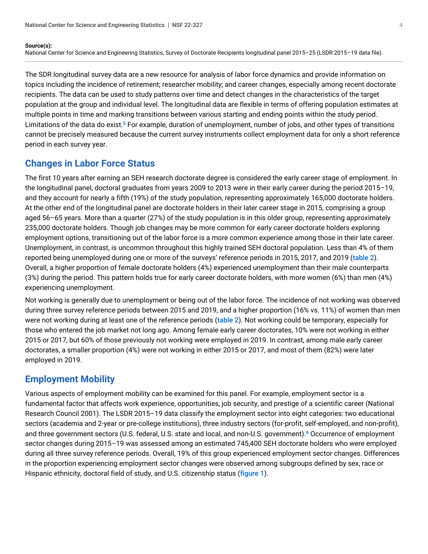#### **Source(s):**

National Center for Science and Engineering Statistics, Survey of Doctorate Recipients longitudinal panel 2015–25 (LSDR 2015–19 data file).

The SDR longitudinal survey data are a new resource for analysis of labor force dynamics and provide information on topics including the incidence of retirement; researcher mobility; and career changes, especially among recent doctorate recipients. The data can be used to study patterns over time and detect changes in the characteristics of the target population at the group and individual level. The longitudinal data are flexible in terms of offering population estimates at multiple points in time and marking transitions between various starting and ending points within the study period. Limitations of the data do exist.<sup>[5](#page-8-4)</sup> For example, duration of unemployment, number of jobs, and other types of transitions cannot be precisely measured because the current survey instruments collect employment data for only a short reference period in each survey year.

### <span id="page-3-0"></span>**Changes in Labor Force Status**

The first 10 years after earning an SEH research doctorate degree is considered the early career stage of employment. In the longitudinal panel, doctoral graduates from years 2009 to 2013 were in their early career during the period 2015–19, and they account for nearly a fifth (19%) of the study population, representing approximately 165,000 doctorate holders. At the other end of the longitudinal panel are doctorate holders in their later career stage in 2015, comprising a group aged 56–65 years. More than a quarter (27%) of the study population is in this older group, representing approximately 235,000 doctorate holders. Though job changes may be more common for early career doctorate holders exploring employment options, transitioning out of the labor force is a more common experience among those in their late career. Unemployment, in contrast, is uncommon throughout this highly trained SEH doctoral population. Less than 4% of them reported being unemployed during one or more of the surveys' reference periods in 2015, 2017, and 2019 ([table 2](#page-1-1)). Overall, a higher proportion of female doctorate holders (4%) experienced unemployment than their male counterparts (3%) during the period. This pattern holds true for early career doctorate holders, with more women (6%) than men (4%) experiencing unemployment.

Not working is generally due to unemployment or being out of the labor force. The incidence of not working was observed during three survey reference periods between 2015 and 2019, and a higher proportion (16% vs. 11%) of women than men were not working during at least one of the reference periods ([table 2](#page-1-1)). Not working could be temporary, especially for those who entered the job market not long ago. Among female early career doctorates, 10% were not working in either 2015 or 2017, but 60% of those previously not working were employed in 2019. In contrast, among male early career doctorates, a smaller proportion (4%) were not working in either 2015 or 2017, and most of them (82%) were later employed in 2019.

### **Employment Mobility**

<span id="page-3-1"></span>Various aspects of employment mobility can be examined for this panel. For example, employment sector is a fundamental factor that affects work experience, opportunities, job security, and prestige of a scientific career (National Research Council 2001). The LSDR 2015–19 data classify the employment sector into eight categories: two educational sectors (academia and 2-year or pre-college institutions), three industry sectors (for-profit, self-employed, and non-profit), and three government sectors (U.S. federal, U.S. state and local, and non-U.S. government). [6](#page-9-0) Occurrence of employment sector changes during 2015–19 was assessed among an estimated 745,400 SEH doctorate holders who were employed during all three survey reference periods. Overall, 19% of this group experienced employment sector changes. Differences in the proportion experiencing employment sector changes were observed among subgroups defined by sex, race or Hispanic ethnicity, doctoral field of study, and U.S. citizenship status ([figure 1](#page-4-0)).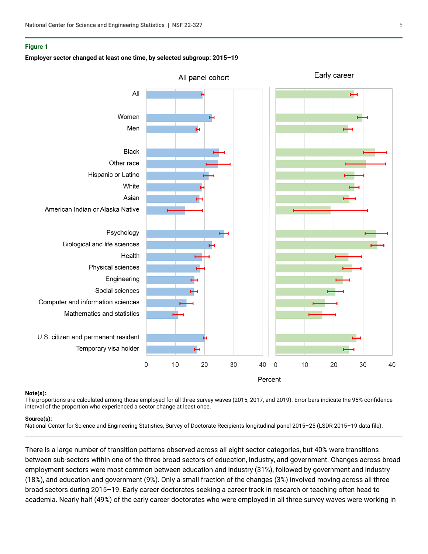#### <span id="page-4-0"></span>**Figure 1**

#### **Employer sector changed at least one time, by selected subgroup: 2015–19**



#### **Note(s):**

The proportions are calculated among those employed for all three survey waves (2015, 2017, and 2019). Error bars indicate the 95% confidence interval of the proportion who experienced a sector change at least once.

#### **Source(s):**

National Center for Science and Engineering Statistics, Survey of Doctorate Recipients longitudinal panel 2015–25 (LSDR 2015–19 data file).

There is a large number of transition patterns observed across all eight sector categories, but 40% were transitions between sub-sectors within one of the three broad sectors of education, industry, and government. Changes across broad employment sectors were most common between education and industry (31%), followed by government and industry (18%), and education and government (9%). Only a small fraction of the changes (3%) involved moving across all three broad sectors during 2015–19. Early career doctorates seeking a career track in research or teaching often head to academia. Nearly half (49%) of the early career doctorates who were employed in all three survey waves were working in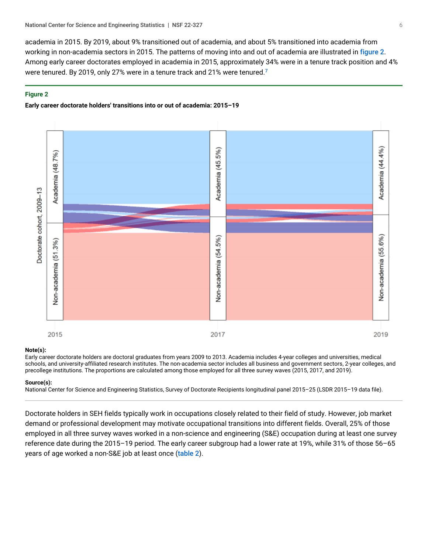academia in 2015. By 2019, about 9% transitioned out of academia, and about 5% transitioned into academia from working in non-academia sectors in 2015. The patterns of moving into and out of academia are illustrated in [figure 2](#page-5-0). Among early career doctorates employed in academia in 2015, approximately 34% were in a tenure track position and 4% were tenured. By 2019, only 2[7](#page-9-1)% were in a tenure track and 21% were tenured.<sup>7</sup>

#### <span id="page-5-0"></span>**Figure 2**

#### **Early career doctorate holders' transitions into or out of academia: 2015–19**

<span id="page-5-1"></span>

#### **Note(s):**

Early career doctorate holders are doctoral graduates from years 2009 to 2013. Academia includes 4-year colleges and universities, medical schools, and university-affiliated research institutes. The non-academia sector includes all business and government sectors, 2-year colleges, and precollege institutions. The proportions are calculated among those employed for all three survey waves (2015, 2017, and 2019).

#### **Source(s):**

National Center for Science and Engineering Statistics, Survey of Doctorate Recipients longitudinal panel 2015–25 (LSDR 2015–19 data file).

Doctorate holders in SEH fields typically work in occupations closely related to their field of study. However, job market demand or professional development may motivate occupational transitions into different fields. Overall, 25% of those employed in all three survey waves worked in a non-science and engineering (S&E) occupation during at least one survey reference date during the 2015–19 period. The early career subgroup had a lower rate at 19%, while 31% of those 56–65 years of age worked a non-S&E job at least once ([table 2](#page-1-1)).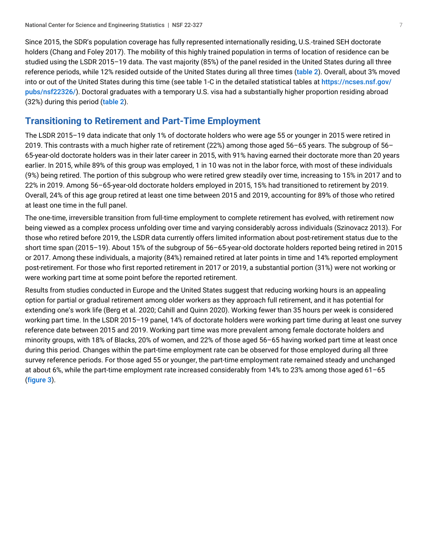Since 2015, the SDR's population coverage has fully represented internationally residing, U.S.-trained SEH doctorate holders (Chang and Foley 2017). The mobility of this highly trained population in terms of location of residence can be studied using the LSDR 2015–19 data. The vast majority (85%) of the panel resided in the United States during all three reference periods, while 12% resided outside of the United States during all three times ([table 2](#page-1-1)). Overall, about 3% moved into or out of the United States during this time (see table 1-C in the detailed statistical tables at [https://ncses.nsf.gov/](https://ncses.nsf.gov/pubs/nsf22326/) [pubs/nsf22326/](https://ncses.nsf.gov/pubs/nsf22326/)). Doctoral graduates with a temporary U.S. visa had a substantially higher proportion residing abroad (32%) during this period ([table 2](#page-1-1)).

### **Transitioning to Retirement and Part-Time Employment**

The LSDR 2015–19 data indicate that only 1% of doctorate holders who were age 55 or younger in 2015 were retired in 2019. This contrasts with a much higher rate of retirement (22%) among those aged 56–65 years. The subgroup of 56– 65-year-old doctorate holders was in their later career in 2015, with 91% having earned their doctorate more than 20 years earlier. In 2015, while 89% of this group was employed, 1 in 10 was not in the labor force, with most of these individuals (9%) being retired. The portion of this subgroup who were retired grew steadily over time, increasing to 15% in 2017 and to 22% in 2019. Among 56–65-year-old doctorate holders employed in 2015, 15% had transitioned to retirement by 2019. Overall, 24% of this age group retired at least one time between 2015 and 2019, accounting for 89% of those who retired at least one time in the full panel.

The one-time, irreversible transition from full-time employment to complete retirement has evolved, with retirement now being viewed as a complex process unfolding over time and varying considerably across individuals (Szinovacz 2013). For those who retired before 2019, the LSDR data currently offers limited information about post-retirement status due to the short time span (2015–19). About 15% of the subgroup of 56–65-year-old doctorate holders reported being retired in 2015 or 2017. Among these individuals, a majority (84%) remained retired at later points in time and 14% reported employment post-retirement. For those who first reported retirement in 2017 or 2019, a substantial portion (31%) were not working or were working part time at some point before the reported retirement.

Results from studies conducted in Europe and the United States suggest that reducing working hours is an appealing option for partial or gradual retirement among older workers as they approach full retirement, and it has potential for extending one's work life (Berg et al. 2020; Cahill and Quinn 2020). Working fewer than 35 hours per week is considered working part time. In the LSDR 2015–19 panel, 14% of doctorate holders were working part time during at least one survey reference date between 2015 and 2019. Working part time was more prevalent among female doctorate holders and minority groups, with 18% of Blacks, 20% of women, and 22% of those aged 56–65 having worked part time at least once during this period. Changes within the part-time employment rate can be observed for those employed during all three survey reference periods. For those aged 55 or younger, the part-time employment rate remained steady and unchanged at about 6%, while the part-time employment rate increased considerably from 14% to 23% among those aged 61–65 ([figure 3](#page-7-0)).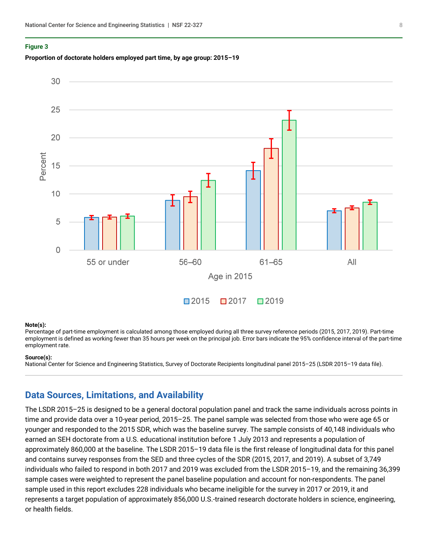#### <span id="page-7-0"></span>**Figure 3**





#### **Note(s):**

Percentage of part-time employment is calculated among those employed during all three survey reference periods (2015, 2017, 2019). Part-time employment is defined as working fewer than 35 hours per week on the principal job. Error bars indicate the 95% confidence interval of the part-time employment rate.

#### **Source(s):**

National Center for Science and Engineering Statistics, Survey of Doctorate Recipients longitudinal panel 2015–25 (LSDR 2015–19 data file).

### <span id="page-7-1"></span>**Data Sources, Limitations, and Availability**

The LSDR 2015–25 is designed to be a general doctoral population panel and track the same individuals across points in time and provide data over a 10-year period, 2015–25. The panel sample was selected from those who were age 65 or younger and responded to the 2015 SDR, which was the baseline survey. The sample consists of 40,148 individuals who earned an SEH doctorate from a U.S. educational institution before 1 July 2013 and represents a population of approximately 860,000 at the baseline. The LSDR 2015–19 data file is the first release of longitudinal data for this panel and contains survey responses from the SED and three cycles of the SDR (2015, 2017, and 2019). A subset of 3,749 individuals who failed to respond in both 2017 and 2019 was excluded from the LSDR 2015–19, and the remaining 36,399 sample cases were weighted to represent the panel baseline population and account for non-respondents. The panel sample used in this report excludes 228 individuals who became ineligible for the survey in 2017 or 2019, it and represents a target population of approximately 856,000 U.S.-trained research doctorate holders in science, engineering, or health fields.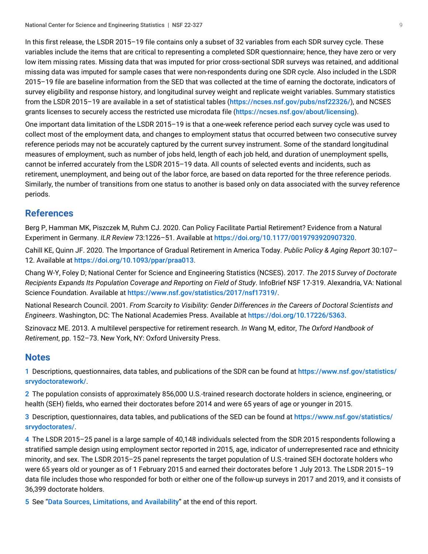In this first release, the LSDR 2015–19 file contains only a subset of 32 variables from each SDR survey cycle. These variables include the items that are critical to representing a completed SDR questionnaire; hence, they have zero or very low item missing rates. Missing data that was imputed for prior cross-sectional SDR surveys was retained, and additional missing data was imputed for sample cases that were non-respondents during one SDR cycle. Also included in the LSDR 2015–19 file are baseline information from the SED that was collected at the time of earning the doctorate, indicators of survey eligibility and response history, and longitudinal survey weight and replicate weight variables. Summary statistics from the LSDR 2015–19 are available in a set of statistical tables (<https://ncses.nsf.gov/pubs/nsf22326/>), and NCSES grants licenses to securely access the restricted use microdata file (<https://ncses.nsf.gov/about/licensing>).

One important data limitation of the LSDR 2015–19 is that a one-week reference period each survey cycle was used to collect most of the employment data, and changes to employment status that occurred between two consecutive survey reference periods may not be accurately captured by the current survey instrument. Some of the standard longitudinal measures of employment, such as number of jobs held, length of each job held, and duration of unemployment spells, cannot be inferred accurately from the LSDR 2015–19 data. All counts of selected events and incidents, such as retirement, unemployment, and being out of the labor force, are based on data reported for the three reference periods. Similarly, the number of transitions from one status to another is based only on data associated with the survey reference periods.

### **References**

Berg P, Hamman MK, Piszczek M, Ruhm CJ. 2020. Can Policy Facilitate Partial Retirement? Evidence from a Natural Experiment in Germany. *ILR Review* 73:1226–51. Available at [https://doi.org/10.1177/0019793920907320](https://www.nsf.gov/cgi-bin/goodbye?https://doi.org/10.1177/0019793920907320).

Cahill KE, Quinn JF. 2020. The Importance of Gradual Retirement in America Today. *Public Policy & Aging Report* 30:107– 12. Available at [https://doi.org/10.1093/ppar/praa013](https://www.nsf.gov/cgi-bin/goodbye?https://doi.org/10.1093/ppar/praa013).

Chang W-Y, Foley D; National Center for Science and Engineering Statistics (NCSES). 2017. *The 2015 Survey of Doctorate Recipients Expands Its Population Coverage and Reporting on Field of Study*. InfoBrief NSF 17-319. Alexandria, VA: National Science Foundation. Available at <https://www.nsf.gov/statistics/2017/nsf17319/>.

National Research Council. 2001. *From Scarcity to Visibility: Gender Differences in the Careers of Doctoral Scientists and Engineers*. Washington, DC: The National Academies Press. Available at [https://doi.org/10.17226/5363](https://www.nsf.gov/cgi-bin/goodbye?https://doi.org/10.17226/5363).

Szinovacz ME. 2013. A multilevel perspective for retirement research. *In* Wang M, editor, *The Oxford Handbook of Retirement*, pp. 152–73. New York, NY: Oxford University Press.

### **Notes**

<span id="page-8-0"></span>[1](#page-0-0) Descriptions, questionnaires, data tables, and publications of the SDR can be found at [https://www.nsf.gov/statistics/](https://www.nsf.gov/statistics/srvydoctoratework/) [srvydoctoratework/](https://www.nsf.gov/statistics/srvydoctoratework/).

<span id="page-8-1"></span>[2](#page-0-1) The population consists of approximately 856,000 U.S.-trained research doctorate holders in science, engineering, or health (SEH) fields, who earned their doctorates before 2014 and were 65 years of age or younger in 2015.

<span id="page-8-2"></span>[3](#page-0-2) Description, questionnaires, data tables, and publications of the SED can be found at [https://www.nsf.gov/statistics/](https://www.nsf.gov/statistics/srvydoctorates/) [srvydoctorates/](https://www.nsf.gov/statistics/srvydoctorates/).

<span id="page-8-3"></span>[4](#page-0-3) The LSDR 2015–25 panel is a large sample of 40,148 individuals selected from the SDR 2015 respondents following a stratified sample design using employment sector reported in 2015, age, indicator of underrepresented race and ethnicity minority, and sex. The LSDR 2015–25 panel represents the target population of U.S.-trained SEH doctorate holders who were 65 years old or younger as of 1 February 2015 and earned their doctorates before 1 July 2013. The LSDR 2015–19 data file includes those who responded for both or either one of the follow-up surveys in 2017 and 2019, and it consists of 36,399 doctorate holders.

<span id="page-8-4"></span>[5](#page-3-0) See "[Data Sources, Limitations, and Availability](#page-7-1)" at the end of this report.